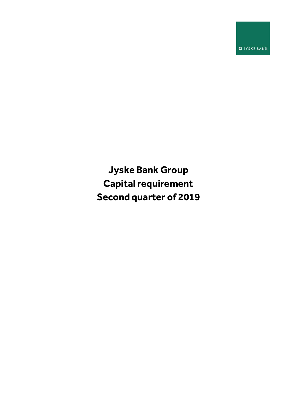**O** JYSKE BANK

**Jyske Bank Group Capital requirement Second quarter of 2019**